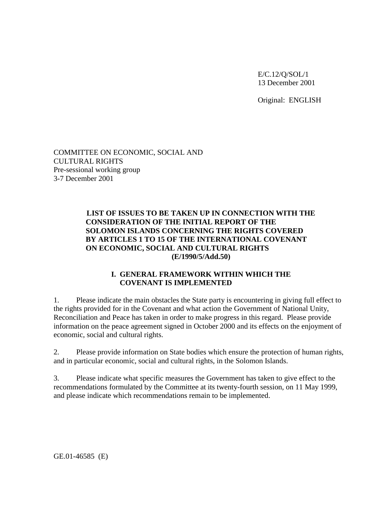E/C.12/Q/SOL/1 13 December 2001

Original: ENGLISH

COMMITTEE ON ECONOMIC, SOCIAL AND CULTURAL RIGHTS Pre-sessional working group 3-7 December 2001

### **LIST OF ISSUES TO BE TAKEN UP IN CONNECTION WITH THE CONSIDERATION OF THE INITIAL REPORT OF THE SOLOMON ISLANDS CONCERNING THE RIGHTS COVERED BY ARTICLES 1 TO 15 OF THE INTERNATIONAL COVENANT ON ECONOMIC, SOCIAL AND CULTURAL RIGHTS (E/1990/5/Add.50)**

### **I. GENERAL FRAMEWORK WITHIN WHICH THE COVENANT IS IMPLEMENTED**

1. Please indicate the main obstacles the State party is encountering in giving full effect to the rights provided for in the Covenant and what action the Government of National Unity, Reconciliation and Peace has taken in order to make progress in this regard. Please provide information on the peace agreement signed in October 2000 and its effects on the enjoyment of economic, social and cultural rights.

2. Please provide information on State bodies which ensure the protection of human rights, and in particular economic, social and cultural rights, in the Solomon Islands.

3. Please indicate what specific measures the Government has taken to give effect to the recommendations formulated by the Committee at its twenty-fourth session, on 11 May 1999, and please indicate which recommendations remain to be implemented.

GE.01-46585 (E)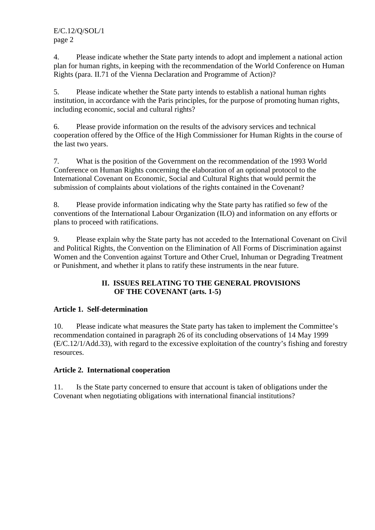4. Please indicate whether the State party intends to adopt and implement a national action plan for human rights, in keeping with the recommendation of the World Conference on Human Rights (para. II.71 of the Vienna Declaration and Programme of Action)?

5. Please indicate whether the State party intends to establish a national human rights institution, in accordance with the Paris principles, for the purpose of promoting human rights, including economic, social and cultural rights?

6. Please provide information on the results of the advisory services and technical cooperation offered by the Office of the High Commissioner for Human Rights in the course of the last two years.

7. What is the position of the Government on the recommendation of the 1993 World Conference on Human Rights concerning the elaboration of an optional protocol to the International Covenant on Economic, Social and Cultural Rights that would permit the submission of complaints about violations of the rights contained in the Covenant?

8. Please provide information indicating why the State party has ratified so few of the conventions of the International Labour Organization (ILO) and information on any efforts or plans to proceed with ratifications.

9. Please explain why the State party has not acceded to the International Covenant on Civil and Political Rights, the Convention on the Elimination of All Forms of Discrimination against Women and the Convention against Torture and Other Cruel, Inhuman or Degrading Treatment or Punishment, and whether it plans to ratify these instruments in the near future.

# **II. ISSUES RELATING TO THE GENERAL PROVISIONS OF THE COVENANT (arts. 1-5)**

# **Article 1. Self-determination**

10. Please indicate what measures the State party has taken to implement the Committee's recommendation contained in paragraph 26 of its concluding observations of 14 May 1999 (E/C.12/1/Add.33), with regard to the excessive exploitation of the country's fishing and forestry resources.

# **Article 2. International cooperation**

11. Is the State party concerned to ensure that account is taken of obligations under the Covenant when negotiating obligations with international financial institutions?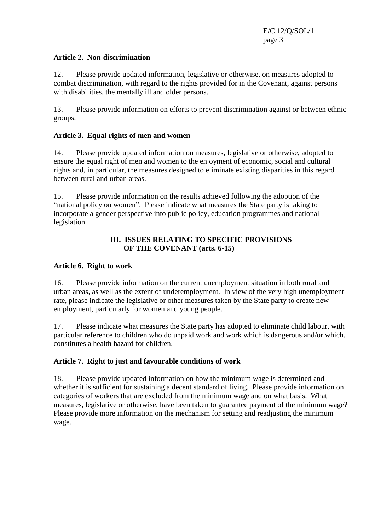### **Article 2. Non-discrimination**

12. Please provide updated information, legislative or otherwise, on measures adopted to combat discrimination, with regard to the rights provided for in the Covenant, against persons with disabilities, the mentally ill and older persons.

13. Please provide information on efforts to prevent discrimination against or between ethnic groups.

### **Article 3. Equal rights of men and women**

14. Please provide updated information on measures, legislative or otherwise, adopted to ensure the equal right of men and women to the enjoyment of economic, social and cultural rights and, in particular, the measures designed to eliminate existing disparities in this regard between rural and urban areas.

15. Please provide information on the results achieved following the adoption of the "national policy on women". Please indicate what measures the State party is taking to incorporate a gender perspective into public policy, education programmes and national legislation.

## **III. ISSUES RELATING TO SPECIFIC PROVISIONS OF THE COVENANT (arts. 6-15)**

#### **Article 6. Right to work**

16. Please provide information on the current unemployment situation in both rural and urban areas, as well as the extent of underemployment. In view of the very high unemployment rate, please indicate the legislative or other measures taken by the State party to create new employment, particularly for women and young people.

17. Please indicate what measures the State party has adopted to eliminate child labour, with particular reference to children who do unpaid work and work which is dangerous and/or which. constitutes a health hazard for children.

### **Article 7. Right to just and favourable conditions of work**

18. Please provide updated information on how the minimum wage is determined and whether it is sufficient for sustaining a decent standard of living. Please provide information on categories of workers that are excluded from the minimum wage and on what basis. What measures, legislative or otherwise, have been taken to guarantee payment of the minimum wage? Please provide more information on the mechanism for setting and readjusting the minimum wage.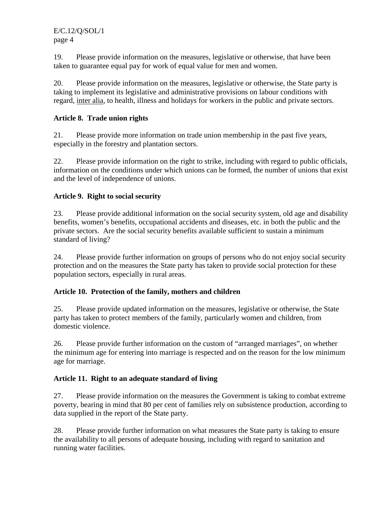E/C.12/Q/SOL/1 page 4

19. Please provide information on the measures, legislative or otherwise, that have been taken to guarantee equal pay for work of equal value for men and women.

20. Please provide information on the measures, legislative or otherwise, the State party is taking to implement its legislative and administrative provisions on labour conditions with regard, inter alia, to health, illness and holidays for workers in the public and private sectors.

### **Article 8. Trade union rights**

21. Please provide more information on trade union membership in the past five years, especially in the forestry and plantation sectors.

22. Please provide information on the right to strike, including with regard to public officials, information on the conditions under which unions can be formed, the number of unions that exist and the level of independence of unions.

### **Article 9. Right to social security**

23. Please provide additional information on the social security system, old age and disability benefits, women's benefits, occupational accidents and diseases, etc. in both the public and the private sectors. Are the social security benefits available sufficient to sustain a minimum standard of living?

24. Please provide further information on groups of persons who do not enjoy social security protection and on the measures the State party has taken to provide social protection for these population sectors, especially in rural areas.

### **Article 10. Protection of the family, mothers and children**

25. Please provide updated information on the measures, legislative or otherwise, the State party has taken to protect members of the family, particularly women and children, from domestic violence.

26. Please provide further information on the custom of "arranged marriages", on whether the minimum age for entering into marriage is respected and on the reason for the low minimum age for marriage.

### **Article 11. Right to an adequate standard of living**

27. Please provide information on the measures the Government is taking to combat extreme poverty, bearing in mind that 80 per cent of families rely on subsistence production, according to data supplied in the report of the State party.

28. Please provide further information on what measures the State party is taking to ensure the availability to all persons of adequate housing, including with regard to sanitation and running water facilities.